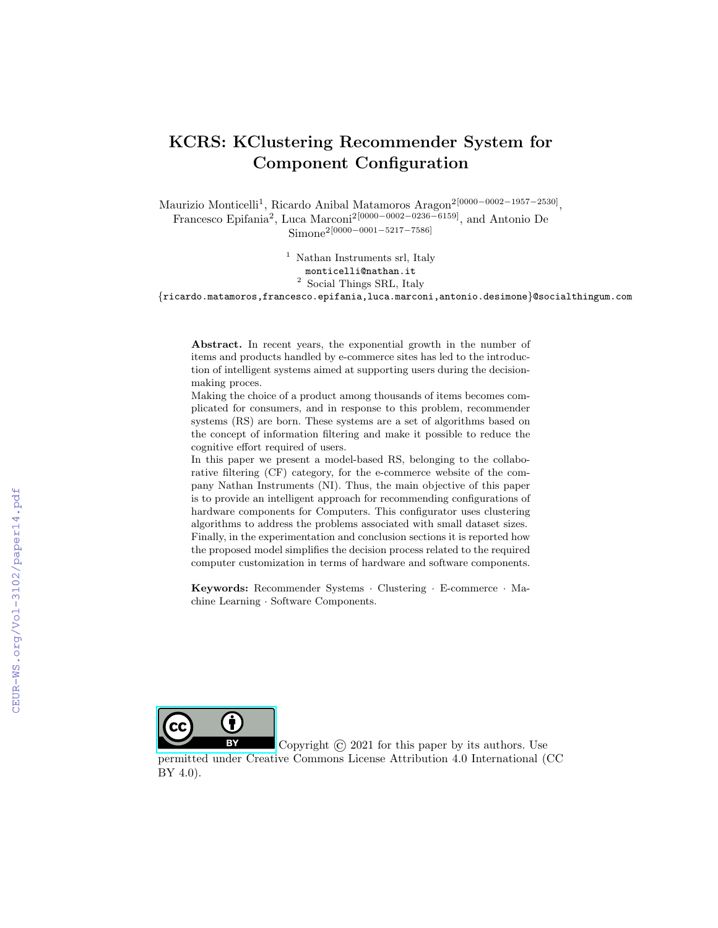# KCRS: KClustering Recommender System for Component Configuration

Maurizio Monticelli<sup>1</sup>, Ricardo Anibal Matamoros Aragon<sup>2</sup><sup>[0000–0002–1957–2530]</sup>, Francesco Epifania<sup>2</sup>, Luca Marconi<sup>2[0000–0002–0236–6159]</sup>, and Antonio De Simone2[0000−0001−5217−7586]

> <sup>1</sup> Nathan Instruments srl, Italy monticelli@nathan.it  $^{\rm 2}$  Social Things SRL, Italy

{ricardo.matamoros,francesco.epifania,luca.marconi,antonio.desimone}@socialthingum.com

Abstract. In recent years, the exponential growth in the number of items and products handled by e-commerce sites has led to the introduction of intelligent systems aimed at supporting users during the decisionmaking proces.

Making the choice of a product among thousands of items becomes complicated for consumers, and in response to this problem, recommender systems (RS) are born. These systems are a set of algorithms based on the concept of information filtering and make it possible to reduce the cognitive effort required of users.

In this paper we present a model-based RS, belonging to the collaborative filtering (CF) category, for the e-commerce website of the company Nathan Instruments (NI). Thus, the main objective of this paper is to provide an intelligent approach for recommending configurations of hardware components for Computers. This configurator uses clustering algorithms to address the problems associated with small dataset sizes. Finally, in the experimentation and conclusion sections it is reported how the proposed model simplifies the decision process related to the required computer customization in terms of hardware and software components.

Keywords: Recommender Systems · Clustering · E-commerce · Machine Learning · Software Components.



Copyright  $\odot$  2021 for this paper by its authors. Use

permitted under Creative Commons License Attribution 4.0 International (CC BY 4.0).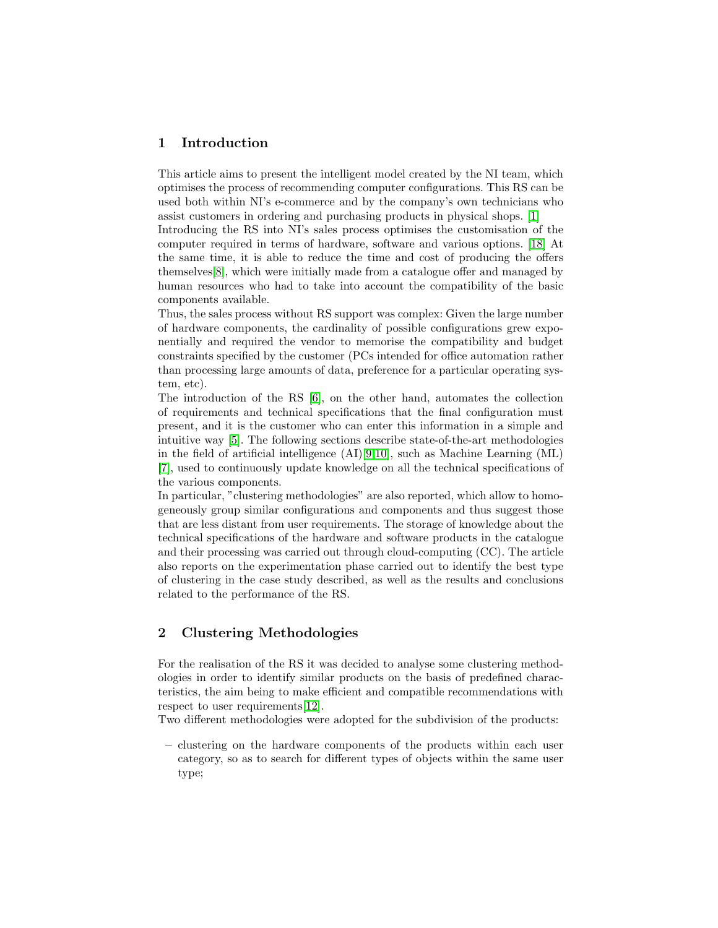# 1 Introduction

This article aims to present the intelligent model created by the NI team, which optimises the process of recommending computer configurations. This RS can be used both within NI's e-commerce and by the company's own technicians who assist customers in ordering and purchasing products in physical shops. [\[1\]](#page-8-0)

Introducing the RS into NI's sales process optimises the customisation of the computer required in terms of hardware, software and various options. [\[18\]](#page-9-0) At the same time, it is able to reduce the time and cost of producing the offers themselves[\[8\]](#page-8-1), which were initially made from a catalogue offer and managed by human resources who had to take into account the compatibility of the basic components available.

Thus, the sales process without RS support was complex: Given the large number of hardware components, the cardinality of possible configurations grew exponentially and required the vendor to memorise the compatibility and budget constraints specified by the customer (PCs intended for office automation rather than processing large amounts of data, preference for a particular operating system, etc).

The introduction of the RS [\[6\]](#page-8-2), on the other hand, automates the collection of requirements and technical specifications that the final configuration must present, and it is the customer who can enter this information in a simple and intuitive way [\[5\]](#page-8-3). The following sections describe state-of-the-art methodologies in the field of artificial intelligence  $(AI)[9,10]$  $(AI)[9,10]$  $(AI)[9,10]$ , such as Machine Learning  $(ML)$ [\[7\]](#page-8-4), used to continuously update knowledge on all the technical specifications of the various components.

In particular, "clustering methodologies" are also reported, which allow to homogeneously group similar configurations and components and thus suggest those that are less distant from user requirements. The storage of knowledge about the technical specifications of the hardware and software products in the catalogue and their processing was carried out through cloud-computing (CC). The article also reports on the experimentation phase carried out to identify the best type of clustering in the case study described, as well as the results and conclusions related to the performance of the RS.

# 2 Clustering Methodologies

For the realisation of the RS it was decided to analyse some clustering methodologies in order to identify similar products on the basis of predefined characteristics, the aim being to make efficient and compatible recommendations with respect to user requirements[\[12\]](#page-9-3).

Two different methodologies were adopted for the subdivision of the products:

– clustering on the hardware components of the products within each user category, so as to search for different types of objects within the same user type;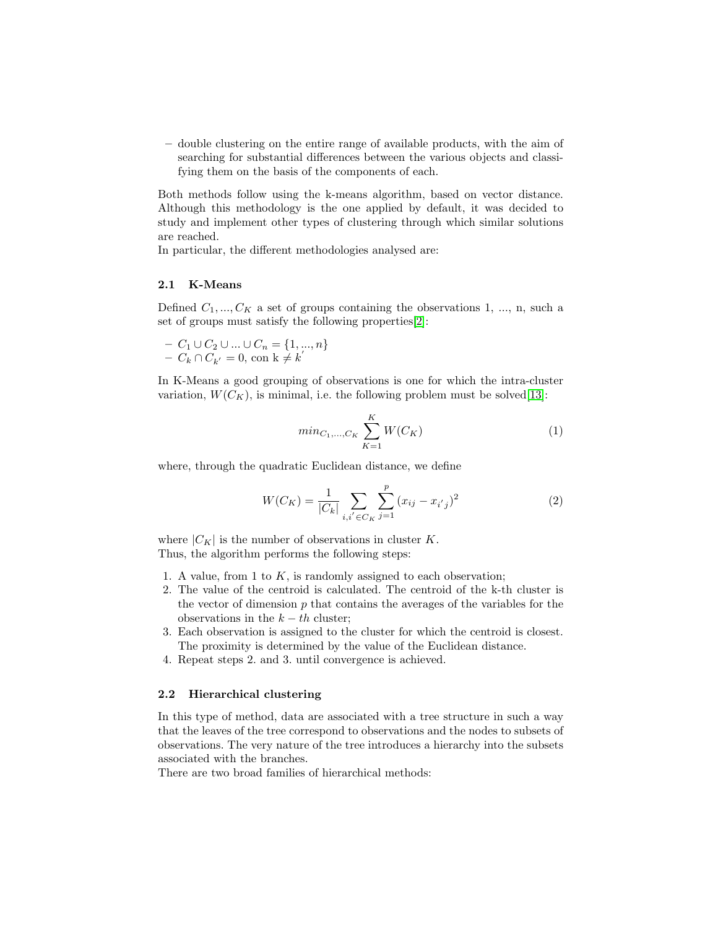– double clustering on the entire range of available products, with the aim of searching for substantial differences between the various objects and classifying them on the basis of the components of each.

Both methods follow using the k-means algorithm, based on vector distance. Although this methodology is the one applied by default, it was decided to study and implement other types of clustering through which similar solutions are reached.

In particular, the different methodologies analysed are:

#### 2.1 K-Means

Defined  $C_1, ..., C_K$  a set of groups containing the observations 1, ..., n, such a set of groups must satisfy the following properties[\[2\]](#page-8-5):

$$
- C_1 \cup C_2 \cup ... \cup C_n = \{1, ..., n\} - C_k \cap C_{k'} = 0, \text{ con } k \neq k'
$$

In K-Means a good grouping of observations is one for which the intra-cluster variation,  $W(C_K)$ , is minimal, i.e. the following problem must be solved [\[13\]](#page-9-4):

$$
min_{C_1,...,C_K} \sum_{K=1}^{K} W(C_K)
$$
\n(1)

where, through the quadratic Euclidean distance, we define

$$
W(C_K) = \frac{1}{|C_k|} \sum_{i,i' \in C_K} \sum_{j=1}^p (x_{ij} - x_{i'j})^2
$$
 (2)

where  $|C_K|$  is the number of observations in cluster K. Thus, the algorithm performs the following steps:

- 1. A value, from 1 to  $K$ , is randomly assigned to each observation;
- 2. The value of the centroid is calculated. The centroid of the k-th cluster is the vector of dimension  $p$  that contains the averages of the variables for the observations in the  $k - th$  cluster;
- 3. Each observation is assigned to the cluster for which the centroid is closest. The proximity is determined by the value of the Euclidean distance.
- 4. Repeat steps 2. and 3. until convergence is achieved.

#### 2.2 Hierarchical clustering

In this type of method, data are associated with a tree structure in such a way that the leaves of the tree correspond to observations and the nodes to subsets of observations. The very nature of the tree introduces a hierarchy into the subsets associated with the branches.

There are two broad families of hierarchical methods: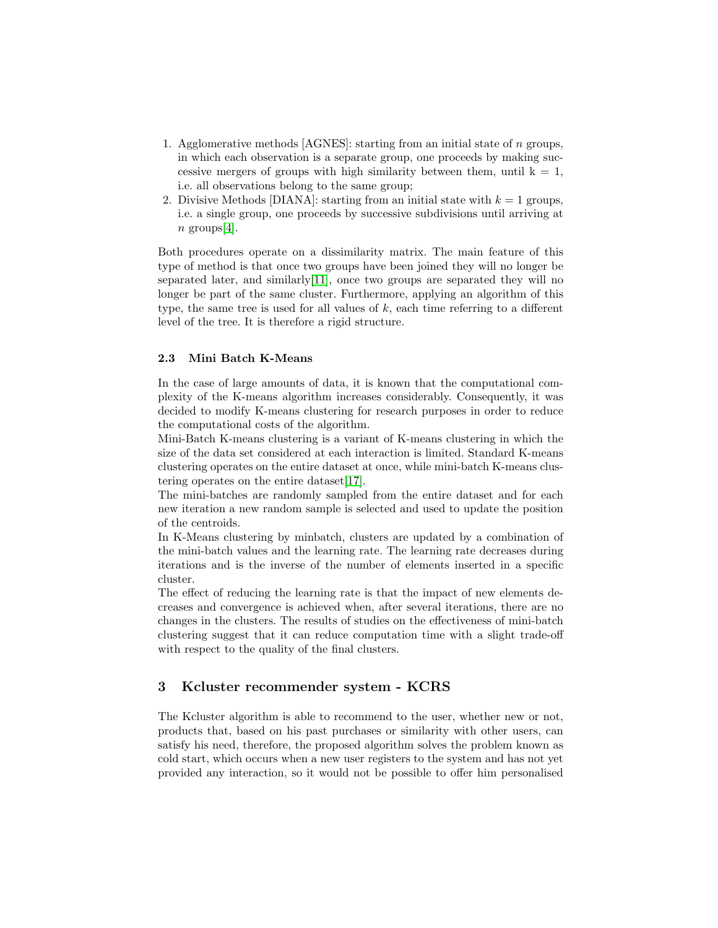- 1. Agglomerative methods [AGNES]: starting from an initial state of n groups, in which each observation is a separate group, one proceeds by making successive mergers of groups with high similarity between them, until  $k = 1$ , i.e. all observations belong to the same group;
- 2. Divisive Methods [DIANA]: starting from an initial state with  $k = 1$  groups, i.e. a single group, one proceeds by successive subdivisions until arriving at  $n$  groups[\[4\]](#page-8-6).

Both procedures operate on a dissimilarity matrix. The main feature of this type of method is that once two groups have been joined they will no longer be separated later, and similarly[\[11\]](#page-9-5), once two groups are separated they will no longer be part of the same cluster. Furthermore, applying an algorithm of this type, the same tree is used for all values of  $k$ , each time referring to a different level of the tree. It is therefore a rigid structure.

#### 2.3 Mini Batch K-Means

In the case of large amounts of data, it is known that the computational complexity of the K-means algorithm increases considerably. Consequently, it was decided to modify K-means clustering for research purposes in order to reduce the computational costs of the algorithm.

Mini-Batch K-means clustering is a variant of K-means clustering in which the size of the data set considered at each interaction is limited. Standard K-means clustering operates on the entire dataset at once, while mini-batch K-means clustering operates on the entire dataset[\[17\]](#page-9-6).

The mini-batches are randomly sampled from the entire dataset and for each new iteration a new random sample is selected and used to update the position of the centroids.

In K-Means clustering by minbatch, clusters are updated by a combination of the mini-batch values and the learning rate. The learning rate decreases during iterations and is the inverse of the number of elements inserted in a specific cluster.

The effect of reducing the learning rate is that the impact of new elements decreases and convergence is achieved when, after several iterations, there are no changes in the clusters. The results of studies on the effectiveness of mini-batch clustering suggest that it can reduce computation time with a slight trade-off with respect to the quality of the final clusters.

## 3 Kcluster recommender system - KCRS

The Kcluster algorithm is able to recommend to the user, whether new or not, products that, based on his past purchases or similarity with other users, can satisfy his need, therefore, the proposed algorithm solves the problem known as cold start, which occurs when a new user registers to the system and has not yet provided any interaction, so it would not be possible to offer him personalised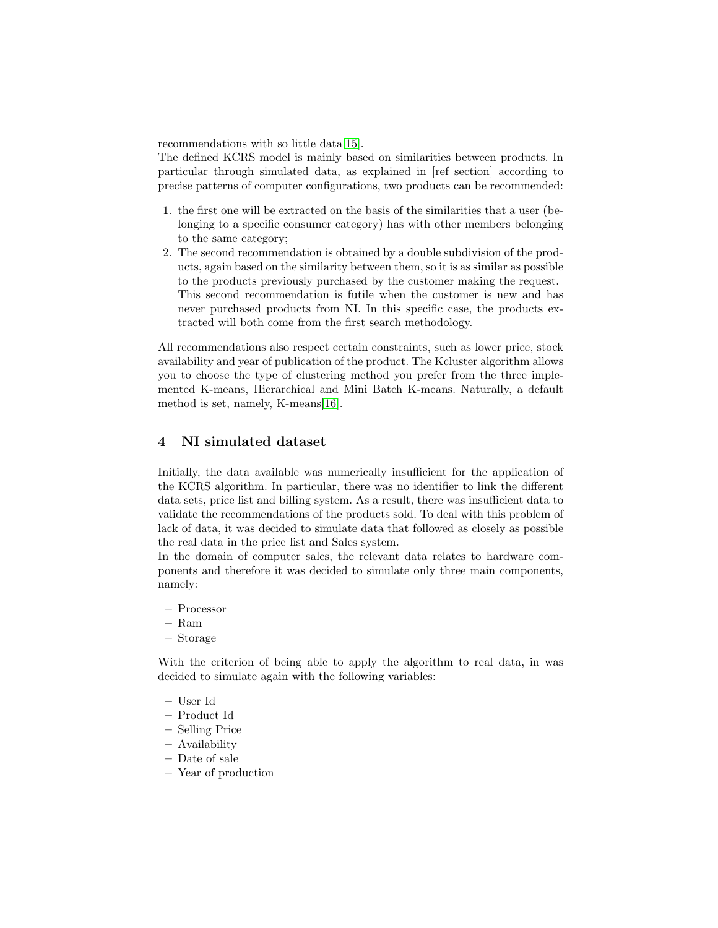recommendations with so little data[\[15\]](#page-9-7).

The defined KCRS model is mainly based on similarities between products. In particular through simulated data, as explained in [ref section] according to precise patterns of computer configurations, two products can be recommended:

- 1. the first one will be extracted on the basis of the similarities that a user (belonging to a specific consumer category) has with other members belonging to the same category;
- 2. The second recommendation is obtained by a double subdivision of the products, again based on the similarity between them, so it is as similar as possible to the products previously purchased by the customer making the request. This second recommendation is futile when the customer is new and has never purchased products from NI. In this specific case, the products extracted will both come from the first search methodology.

All recommendations also respect certain constraints, such as lower price, stock availability and year of publication of the product. The Kcluster algorithm allows you to choose the type of clustering method you prefer from the three implemented K-means, Hierarchical and Mini Batch K-means. Naturally, a default method is set, namely, K-means[\[16\]](#page-9-8).

## 4 NI simulated dataset

Initially, the data available was numerically insufficient for the application of the KCRS algorithm. In particular, there was no identifier to link the different data sets, price list and billing system. As a result, there was insufficient data to validate the recommendations of the products sold. To deal with this problem of lack of data, it was decided to simulate data that followed as closely as possible the real data in the price list and Sales system.

In the domain of computer sales, the relevant data relates to hardware components and therefore it was decided to simulate only three main components, namely:

- Processor
- Ram
- Storage

With the criterion of being able to apply the algorithm to real data, in was decided to simulate again with the following variables:

- User Id
- Product Id
- Selling Price
- Availability
- Date of sale
- Year of production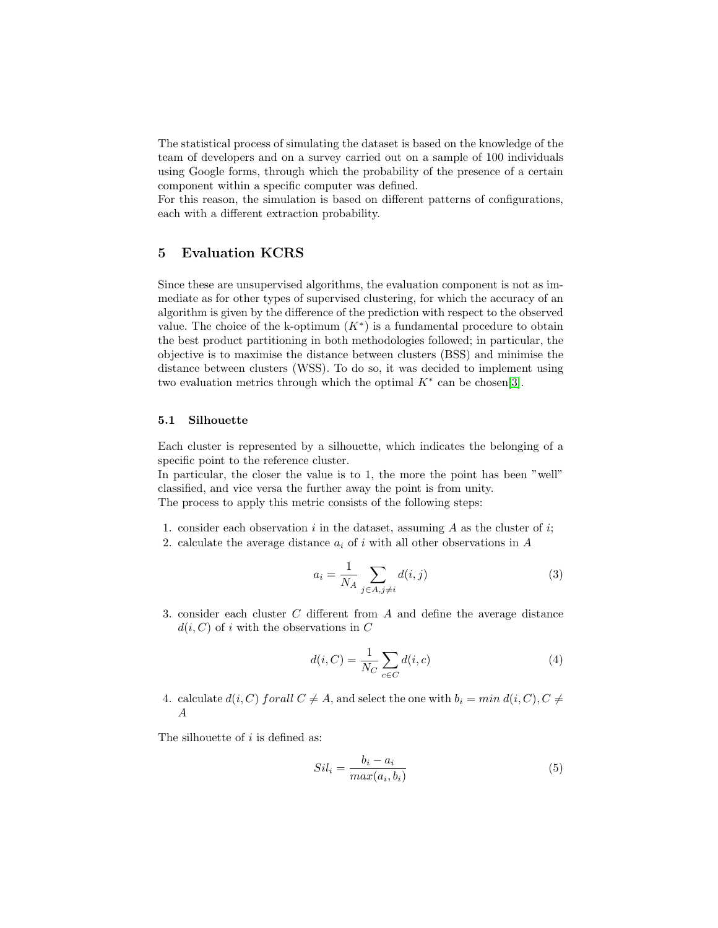The statistical process of simulating the dataset is based on the knowledge of the team of developers and on a survey carried out on a sample of 100 individuals using Google forms, through which the probability of the presence of a certain component within a specific computer was defined.

For this reason, the simulation is based on different patterns of configurations, each with a different extraction probability.

## 5 Evaluation KCRS

Since these are unsupervised algorithms, the evaluation component is not as immediate as for other types of supervised clustering, for which the accuracy of an algorithm is given by the difference of the prediction with respect to the observed value. The choice of the k-optimum  $(K^*)$  is a fundamental procedure to obtain the best product partitioning in both methodologies followed; in particular, the objective is to maximise the distance between clusters (BSS) and minimise the distance between clusters (WSS). To do so, it was decided to implement using two evaluation metrics through which the optimal  $K^*$  can be chosen[\[3\]](#page-8-7).

#### 5.1 Silhouette

Each cluster is represented by a silhouette, which indicates the belonging of a specific point to the reference cluster.

In particular, the closer the value is to 1, the more the point has been "well" classified, and vice versa the further away the point is from unity. The process to apply this metric consists of the following steps:

- 1. consider each observation i in the dataset, assuming  $A$  as the cluster of i;
- 2. calculate the average distance  $a_i$  of i with all other observations in A

$$
a_i = \frac{1}{N_A} \sum_{j \in A, j \neq i} d(i, j) \tag{3}
$$

3. consider each cluster C different from A and define the average distance  $d(i, C)$  of i with the observations in C

$$
d(i, C) = \frac{1}{N_C} \sum_{c \in C} d(i, c)
$$
\n<sup>(4)</sup>

4. calculate  $d(i, C)$  forall  $C \neq A$ , and select the one with  $b_i = min d(i, C), C \neq$ A

The silhouette of  $i$  is defined as:

$$
Sil_i = \frac{b_i - a_i}{max(a_i, b_i)}\tag{5}
$$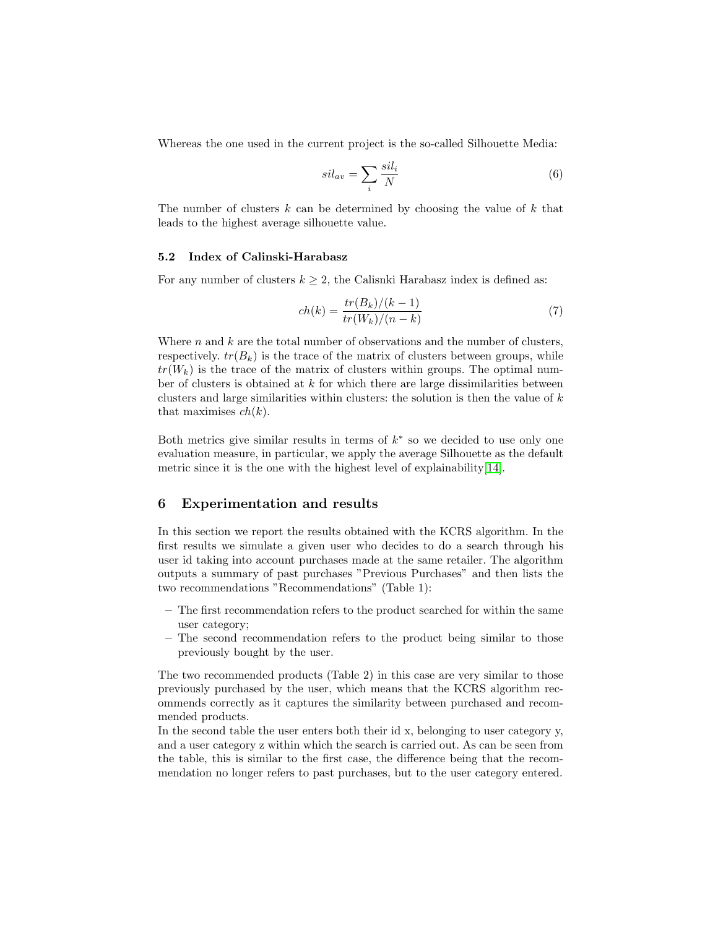Whereas the one used in the current project is the so-called Silhouette Media:

$$
sil_{av} = \sum_{i} \frac{sil_i}{N} \tag{6}
$$

The number of clusters  $k$  can be determined by choosing the value of  $k$  that leads to the highest average silhouette value.

## 5.2 Index of Calinski-Harabasz

For any number of clusters  $k \geq 2$ , the Calisnki Harabasz index is defined as:

$$
ch(k) = \frac{tr(B_k)/(k-1)}{tr(W_k)/(n-k)}
$$
(7)

Where  $n$  and  $k$  are the total number of observations and the number of clusters, respectively.  $tr(B_k)$  is the trace of the matrix of clusters between groups, while  $tr(W_k)$  is the trace of the matrix of clusters within groups. The optimal number of clusters is obtained at  $k$  for which there are large dissimilarities between clusters and large similarities within clusters: the solution is then the value of  $k$ that maximises  $ch(k)$ .

Both metrics give similar results in terms of  $k^*$  so we decided to use only one evaluation measure, in particular, we apply the average Silhouette as the default metric since it is the one with the highest level of explainability[\[14\]](#page-9-9).

## 6 Experimentation and results

In this section we report the results obtained with the KCRS algorithm. In the first results we simulate a given user who decides to do a search through his user id taking into account purchases made at the same retailer. The algorithm outputs a summary of past purchases "Previous Purchases" and then lists the two recommendations "Recommendations" (Table 1):

- The first recommendation refers to the product searched for within the same user category;
- The second recommendation refers to the product being similar to those previously bought by the user.

The two recommended products (Table 2) in this case are very similar to those previously purchased by the user, which means that the KCRS algorithm recommends correctly as it captures the similarity between purchased and recommended products.

In the second table the user enters both their id x, belonging to user category  $y$ , and a user category z within which the search is carried out. As can be seen from the table, this is similar to the first case, the difference being that the recommendation no longer refers to past purchases, but to the user category entered.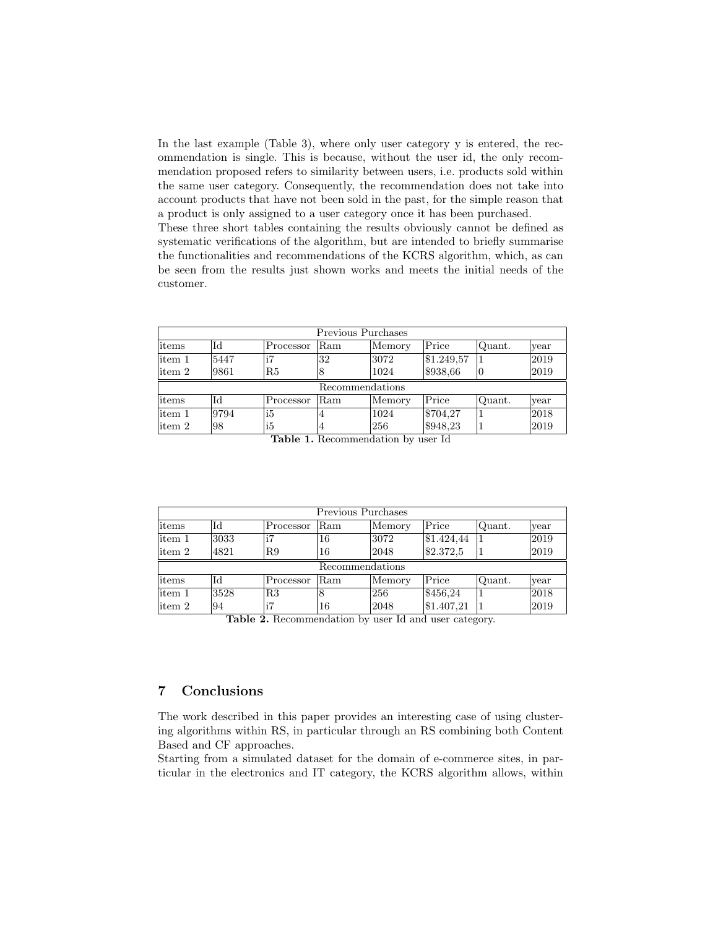In the last example (Table 3), where only user category y is entered, the recommendation is single. This is because, without the user id, the only recommendation proposed refers to similarity between users, i.e. products sold within the same user category. Consequently, the recommendation does not take into account products that have not been sold in the past, for the simple reason that a product is only assigned to a user category once it has been purchased.

These three short tables containing the results obviously cannot be defined as systematic verifications of the algorithm, but are intended to briefly summarise the functionalities and recommendations of the KCRS algorithm, which, as can be seen from the results just shown works and meets the initial needs of the customer.

|                 |      |                                |               | Previous Purchases |                     |        |      |  |
|-----------------|------|--------------------------------|---------------|--------------------|---------------------|--------|------|--|
| litems          | Id   | Processor                      | Ram           | Memory             | Price               | Quant. | year |  |
| litem 1         | 5447 | i7                             | 32            | 3072               | \$1.249,57          |        | 2019 |  |
| litem 2         | 9861 | R5                             | 18            | 1024               | \$938,66            | IО     | 2019 |  |
| Recommendations |      |                                |               |                    |                     |        |      |  |
| litems          | Id   | Processor                      | Ram           | Memory             | Price               | Quant. | year |  |
| litem 1         | 9794 | <sup>i5</sup>                  | 4             | 1024               | \$704,27            |        | 2018 |  |
| litem 2         | 98   | <sup>i5</sup><br>$m + 1$<br>н. | 4<br><b>D</b> | 256<br>$\cdots$    | \$948,23<br>$T$ $T$ |        | 2019 |  |

Table 1. Recommendation by user Id

| Previous Purchases |      |                                                            |     |        |            |        |      |  |
|--------------------|------|------------------------------------------------------------|-----|--------|------------|--------|------|--|
| litems             | Id   | Processor                                                  | Ram | Memory | Price      | Quant. | year |  |
| litem 1            | 3033 |                                                            | 16  | 3072   | \$1.424.44 |        | 2019 |  |
| litem 2            | 4821 | R9                                                         | 16  | 2048   | \$2.372,5  |        | 2019 |  |
| Recommendations    |      |                                                            |     |        |            |        |      |  |
| litems             | Id   | Processor                                                  | Ram | Memory | Price      | Quant. | year |  |
| litem 1            | 3528 | R3                                                         | 8   | 256    | \$456,24   |        | 2018 |  |
| litem 2            | 94   | i7<br>Table 2. Becommondation by user Id and user externue | 16  | 2048   | \$1.407,21 |        | 2019 |  |

Table 2. Recommendation by user Id and user category.

# 7 Conclusions

The work described in this paper provides an interesting case of using clustering algorithms within RS, in particular through an RS combining both Content Based and CF approaches.

Starting from a simulated dataset for the domain of e-commerce sites, in particular in the electronics and IT category, the KCRS algorithm allows, within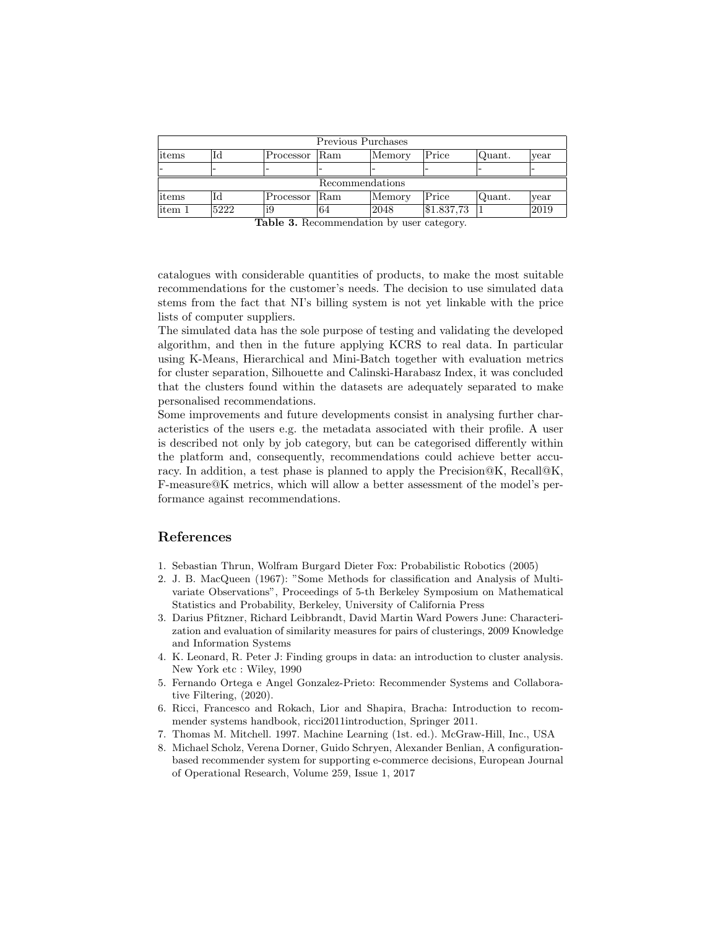|                 |      |               |                 | Previous Purchases |            |        |      |  |  |
|-----------------|------|---------------|-----------------|--------------------|------------|--------|------|--|--|
| litems          | Id   | Processor Ram |                 | $M$ emory          | Price      | Quant. | year |  |  |
|                 |      |               |                 |                    |            |        |      |  |  |
| Recommendations |      |               |                 |                    |            |        |      |  |  |
| litems          | ЪI   | Processor     | <sup></sup> Ram | $M$ emory          | Price      | Quant. | year |  |  |
| litem 1         | 5222 | i9            | 64              | 2048               | \$1.837,73 |        | 2019 |  |  |

Table 3. Recommendation by user category.

catalogues with considerable quantities of products, to make the most suitable recommendations for the customer's needs. The decision to use simulated data stems from the fact that NI's billing system is not yet linkable with the price lists of computer suppliers.

The simulated data has the sole purpose of testing and validating the developed algorithm, and then in the future applying KCRS to real data. In particular using K-Means, Hierarchical and Mini-Batch together with evaluation metrics for cluster separation, Silhouette and Calinski-Harabasz Index, it was concluded that the clusters found within the datasets are adequately separated to make personalised recommendations.

Some improvements and future developments consist in analysing further characteristics of the users e.g. the metadata associated with their profile. A user is described not only by job category, but can be categorised differently within the platform and, consequently, recommendations could achieve better accuracy. In addition, a test phase is planned to apply the Precision@K, Recall@K, F-measure@K metrics, which will allow a better assessment of the model's performance against recommendations.

## References

- <span id="page-8-0"></span>1. Sebastian Thrun, Wolfram Burgard Dieter Fox: Probabilistic Robotics (2005)
- <span id="page-8-5"></span>2. J. B. MacQueen (1967): "Some Methods for classification and Analysis of Multivariate Observations", Proceedings of 5-th Berkeley Symposium on Mathematical Statistics and Probability, Berkeley, University of California Press
- <span id="page-8-7"></span>3. Darius Pfitzner, Richard Leibbrandt, David Martin Ward Powers June: Characterization and evaluation of similarity measures for pairs of clusterings, 2009 Knowledge and Information Systems
- <span id="page-8-6"></span>4. K. Leonard, R. Peter J: Finding groups in data: an introduction to cluster analysis. New York etc : Wiley, 1990
- <span id="page-8-3"></span>5. Fernando Ortega e Angel Gonzalez-Prieto: Recommender Systems and Collaborative Filtering, (2020).
- <span id="page-8-2"></span>6. Ricci, Francesco and Rokach, Lior and Shapira, Bracha: Introduction to recommender systems handbook, ricci2011introduction, Springer 2011.
- <span id="page-8-4"></span>7. Thomas M. Mitchell. 1997. Machine Learning (1st. ed.). McGraw-Hill, Inc., USA
- <span id="page-8-1"></span>8. Michael Scholz, Verena Dorner, Guido Schryen, Alexander Benlian, A configurationbased recommender system for supporting e-commerce decisions, European Journal of Operational Research, Volume 259, Issue 1, 2017